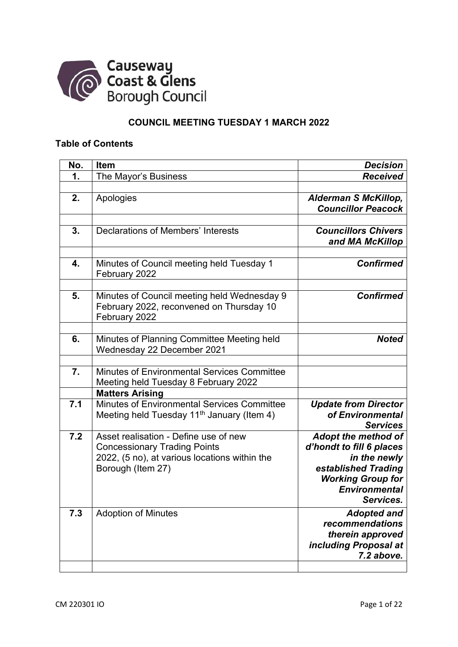

## **COUNCIL MEETING TUESDAY 1 MARCH 2022**

## **Table of Contents**

| No. | Item                                                                                                                                               | <b>Decision</b>                                                                                                                                         |
|-----|----------------------------------------------------------------------------------------------------------------------------------------------------|---------------------------------------------------------------------------------------------------------------------------------------------------------|
| 1.  | The Mayor's Business                                                                                                                               | <b>Received</b>                                                                                                                                         |
|     |                                                                                                                                                    |                                                                                                                                                         |
| 2.  | Apologies                                                                                                                                          | <b>Alderman S McKillop,</b><br><b>Councillor Peacock</b>                                                                                                |
| 3.  | <b>Declarations of Members' Interests</b>                                                                                                          | <b>Councillors Chivers</b><br>and MA McKillop                                                                                                           |
| 4.  | Minutes of Council meeting held Tuesday 1<br>February 2022                                                                                         | <b>Confirmed</b>                                                                                                                                        |
| 5.  | Minutes of Council meeting held Wednesday 9<br>February 2022, reconvened on Thursday 10<br>February 2022                                           | <b>Confirmed</b>                                                                                                                                        |
| 6.  | Minutes of Planning Committee Meeting held<br>Wednesday 22 December 2021                                                                           | <b>Noted</b>                                                                                                                                            |
| 7.  | Minutes of Environmental Services Committee<br>Meeting held Tuesday 8 February 2022                                                                |                                                                                                                                                         |
|     | <b>Matters Arising</b>                                                                                                                             |                                                                                                                                                         |
| 7.1 | <b>Minutes of Environmental Services Committee</b><br>Meeting held Tuesday 11 <sup>th</sup> January (Item 4)                                       | <b>Update from Director</b><br>of Environmental<br><b>Services</b>                                                                                      |
| 7.2 | Asset realisation - Define use of new<br><b>Concessionary Trading Points</b><br>2022, (5 no), at various locations within the<br>Borough (Item 27) | Adopt the method of<br>d'hondt to fill 6 places<br>in the newly<br>established Trading<br><b>Working Group for</b><br><b>Environmental</b><br>Services. |
| 7.3 | <b>Adoption of Minutes</b>                                                                                                                         | <b>Adopted and</b><br>recommendations<br>therein approved<br>including Proposal at<br>7.2 above.                                                        |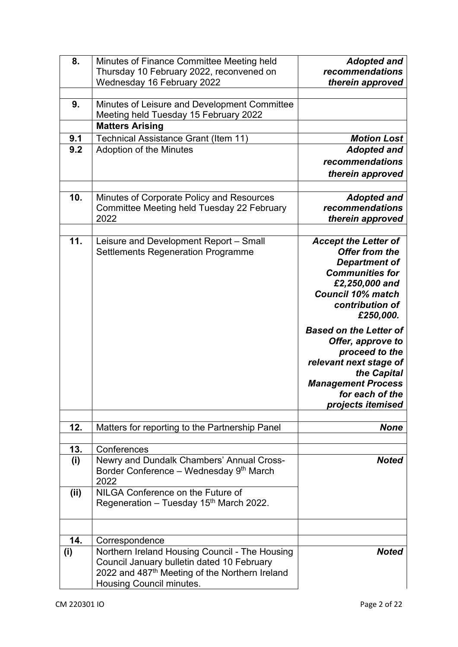| 8.   | Minutes of Finance Committee Meeting held                                              | <b>Adopted and</b>                    |
|------|----------------------------------------------------------------------------------------|---------------------------------------|
|      | Thursday 10 February 2022, reconvened on                                               | recommendations                       |
|      | Wednesday 16 February 2022                                                             | therein approved                      |
|      |                                                                                        |                                       |
| 9.   | Minutes of Leisure and Development Committee<br>Meeting held Tuesday 15 February 2022  |                                       |
|      | <b>Matters Arising</b>                                                                 |                                       |
| 9.1  | Technical Assistance Grant (Item 11)                                                   | <b>Motion Lost</b>                    |
| 9.2  | <b>Adoption of the Minutes</b>                                                         | <b>Adopted and</b>                    |
|      |                                                                                        | recommendations                       |
|      |                                                                                        |                                       |
|      |                                                                                        | therein approved                      |
|      |                                                                                        |                                       |
| 10.  | Minutes of Corporate Policy and Resources                                              | <b>Adopted and</b><br>recommendations |
|      | Committee Meeting held Tuesday 22 February<br>2022                                     | therein approved                      |
|      |                                                                                        |                                       |
| 11.  | Leisure and Development Report - Small                                                 | <b>Accept the Letter of</b>           |
|      | <b>Settlements Regeneration Programme</b>                                              | Offer from the                        |
|      |                                                                                        | <b>Department of</b>                  |
|      |                                                                                        | <b>Communities for</b>                |
|      |                                                                                        | £2,250,000 and                        |
|      |                                                                                        | <b>Council 10% match</b>              |
|      |                                                                                        | contribution of                       |
|      |                                                                                        | £250,000.                             |
|      |                                                                                        |                                       |
|      |                                                                                        |                                       |
|      |                                                                                        | <b>Based on the Letter of</b>         |
|      |                                                                                        | Offer, approve to                     |
|      |                                                                                        | proceed to the                        |
|      |                                                                                        | relevant next stage of<br>the Capital |
|      |                                                                                        | <b>Management Process</b>             |
|      |                                                                                        | for each of the                       |
|      |                                                                                        | projects itemised                     |
|      |                                                                                        |                                       |
| 12.  | Matters for reporting to the Partnership Panel                                         | <b>None</b>                           |
|      |                                                                                        |                                       |
| 13.  | Conferences                                                                            |                                       |
| (i)  | Newry and Dundalk Chambers' Annual Cross-                                              | <b>Noted</b>                          |
|      | Border Conference - Wednesday 9th March                                                |                                       |
|      | 2022                                                                                   |                                       |
| (ii) | NILGA Conference on the Future of                                                      |                                       |
|      | Regeneration – Tuesday 15 <sup>th</sup> March 2022.                                    |                                       |
|      |                                                                                        |                                       |
|      |                                                                                        |                                       |
| 14.  | Correspondence                                                                         |                                       |
| (i)  | Northern Ireland Housing Council - The Housing                                         | <b>Noted</b>                          |
|      | Council January bulletin dated 10 February                                             |                                       |
|      | 2022 and 487 <sup>th</sup> Meeting of the Northern Ireland<br>Housing Council minutes. |                                       |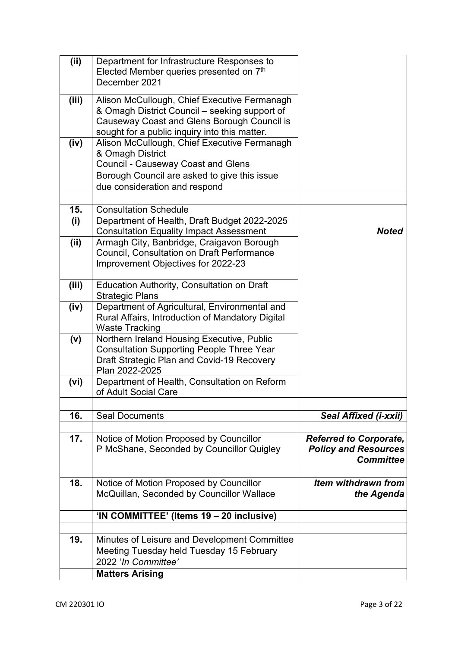| (ii)  | Department for Infrastructure Responses to<br>Elected Member queries presented on 7th                                                                                                          |                                                                                  |
|-------|------------------------------------------------------------------------------------------------------------------------------------------------------------------------------------------------|----------------------------------------------------------------------------------|
|       | December 2021                                                                                                                                                                                  |                                                                                  |
| (iii) | Alison McCullough, Chief Executive Fermanagh<br>& Omagh District Council – seeking support of<br>Causeway Coast and Glens Borough Council is<br>sought for a public inquiry into this matter.  |                                                                                  |
| (iv)  | Alison McCullough, Chief Executive Fermanagh<br>& Omagh District<br><b>Council - Causeway Coast and Glens</b><br>Borough Council are asked to give this issue<br>due consideration and respond |                                                                                  |
|       |                                                                                                                                                                                                |                                                                                  |
| 15.   | <b>Consultation Schedule</b>                                                                                                                                                                   |                                                                                  |
| (i)   | Department of Health, Draft Budget 2022-2025<br><b>Consultation Equality Impact Assessment</b>                                                                                                 | <b>Noted</b>                                                                     |
| (ii)  | Armagh City, Banbridge, Craigavon Borough<br>Council, Consultation on Draft Performance<br>Improvement Objectives for 2022-23                                                                  |                                                                                  |
| (iii) | <b>Education Authority, Consultation on Draft</b><br><b>Strategic Plans</b>                                                                                                                    |                                                                                  |
| (iv)  | Department of Agricultural, Environmental and<br>Rural Affairs, Introduction of Mandatory Digital<br><b>Waste Tracking</b>                                                                     |                                                                                  |
| (v)   | Northern Ireland Housing Executive, Public<br><b>Consultation Supporting People Three Year</b><br>Draft Strategic Plan and Covid-19 Recovery<br>Plan 2022-2025                                 |                                                                                  |
| (vi)  | Department of Health, Consultation on Reform<br>of Adult Social Care                                                                                                                           |                                                                                  |
|       |                                                                                                                                                                                                |                                                                                  |
| 16.   | <b>Seal Documents</b>                                                                                                                                                                          | <b>Seal Affixed (i-xxii)</b>                                                     |
| 17.   | Notice of Motion Proposed by Councillor<br>P McShane, Seconded by Councillor Quigley                                                                                                           | <b>Referred to Corporate,</b><br><b>Policy and Resources</b><br><b>Committee</b> |
| 18.   | Notice of Motion Proposed by Councillor<br>McQuillan, Seconded by Councillor Wallace                                                                                                           | Item withdrawn from<br>the Agenda                                                |
|       | 'IN COMMITTEE' (Items 19 – 20 inclusive)                                                                                                                                                       |                                                                                  |
|       |                                                                                                                                                                                                |                                                                                  |
| 19.   | Minutes of Leisure and Development Committee<br>Meeting Tuesday held Tuesday 15 February<br>2022 'In Committee'                                                                                |                                                                                  |
|       | <b>Matters Arising</b>                                                                                                                                                                         |                                                                                  |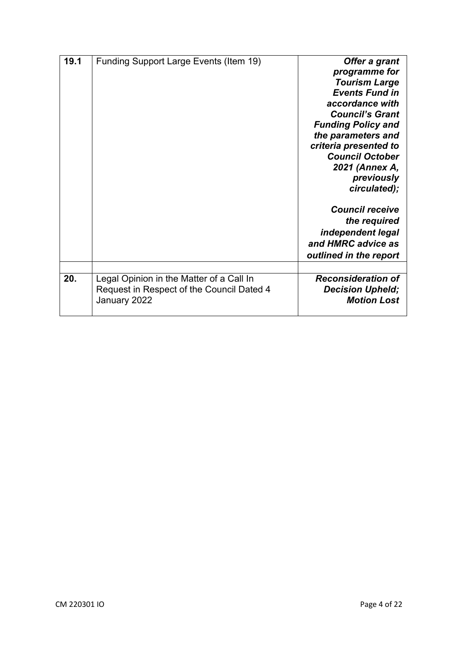| 19.1 | Funding Support Large Events (Item 19)                                                                | Offer a grant<br>programme for<br><b>Tourism Large</b><br><b>Events Fund in</b><br>accordance with<br><b>Council's Grant</b><br><b>Funding Policy and</b><br>the parameters and<br>criteria presented to<br><b>Council October</b><br>2021 (Annex A,<br>previously<br>circulated);<br><b>Council receive</b> |
|------|-------------------------------------------------------------------------------------------------------|--------------------------------------------------------------------------------------------------------------------------------------------------------------------------------------------------------------------------------------------------------------------------------------------------------------|
|      |                                                                                                       | the required<br>independent legal<br>and HMRC advice as<br>outlined in the report                                                                                                                                                                                                                            |
|      |                                                                                                       |                                                                                                                                                                                                                                                                                                              |
| 20.  | Legal Opinion in the Matter of a Call In<br>Request in Respect of the Council Dated 4<br>January 2022 | <b>Reconsideration of</b><br><b>Decision Upheld;</b><br><b>Motion Lost</b>                                                                                                                                                                                                                                   |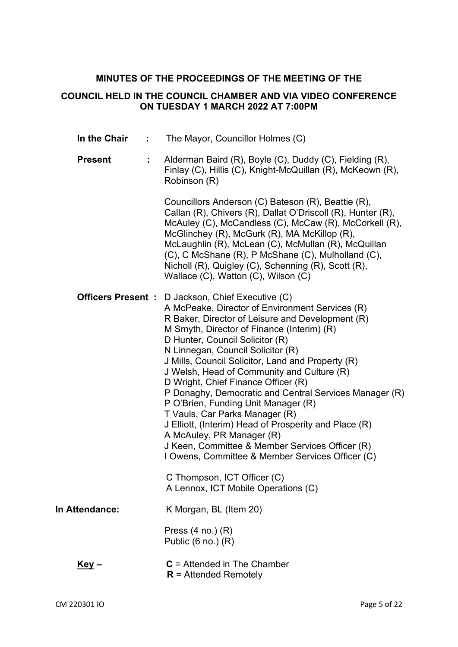# **MINUTES OF THE PROCEEDINGS OF THE MEETING OF THE**

## **COUNCIL HELD IN THE COUNCIL CHAMBER AND VIA VIDEO CONFERENCE ON TUESDAY 1 MARCH 2022 AT 7:00PM**

| In the Chair<br>÷   | The Mayor, Councillor Holmes (C)                                                                                                                                                                                                                                                                                                                                                                                                                                                                                                                                                                                                                                                                                                                                |
|---------------------|-----------------------------------------------------------------------------------------------------------------------------------------------------------------------------------------------------------------------------------------------------------------------------------------------------------------------------------------------------------------------------------------------------------------------------------------------------------------------------------------------------------------------------------------------------------------------------------------------------------------------------------------------------------------------------------------------------------------------------------------------------------------|
| <b>Present</b><br>÷ | Alderman Baird (R), Boyle (C), Duddy (C), Fielding (R),<br>Finlay (C), Hillis (C), Knight-McQuillan (R), McKeown (R),<br>Robinson (R)                                                                                                                                                                                                                                                                                                                                                                                                                                                                                                                                                                                                                           |
|                     | Councillors Anderson (C) Bateson (R), Beattie (R),<br>Callan (R), Chivers (R), Dallat O'Driscoll (R), Hunter (R),<br>McAuley (C), McCandless (C), McCaw (R), McCorkell (R),<br>McGlinchey (R), McGurk (R), MA McKillop (R),<br>McLaughlin (R), McLean (C), McMullan (R), McQuillan<br>(C), C McShane (R), P McShane (C), Mulholland (C),<br>Nicholl (R), Quigley (C), Schenning (R), Scott (R),<br>Wallace (C), Watton (C), Wilson (C)                                                                                                                                                                                                                                                                                                                          |
|                     | <b>Officers Present :</b> D Jackson, Chief Executive (C)<br>A McPeake, Director of Environment Services (R)<br>R Baker, Director of Leisure and Development (R)<br>M Smyth, Director of Finance (Interim) (R)<br>D Hunter, Council Solicitor (R)<br>N Linnegan, Council Solicitor (R)<br>J Mills, Council Solicitor, Land and Property (R)<br>J Welsh, Head of Community and Culture (R)<br>D Wright, Chief Finance Officer (R)<br>P Donaghy, Democratic and Central Services Manager (R)<br>P O'Brien, Funding Unit Manager (R)<br>T Vauls, Car Parks Manager (R)<br>J Elliott, (Interim) Head of Prosperity and Place (R)<br>A McAuley, PR Manager (R)<br>J Keen, Committee & Member Services Officer (R)<br>I Owens, Committee & Member Services Officer (C) |
|                     | C Thompson, ICT Officer (C)<br>A Lennox, ICT Mobile Operations (C)                                                                                                                                                                                                                                                                                                                                                                                                                                                                                                                                                                                                                                                                                              |
| In Attendance:      | K Morgan, BL (Item 20)                                                                                                                                                                                                                                                                                                                                                                                                                                                                                                                                                                                                                                                                                                                                          |
|                     | Press $(4 \text{ no.}) (R)$<br>Public $(6 \text{ no.}) (R)$                                                                                                                                                                                                                                                                                                                                                                                                                                                                                                                                                                                                                                                                                                     |
| <u>Key</u> –        | $C =$ Attended in The Chamber<br>$R =$ Attended Remotely                                                                                                                                                                                                                                                                                                                                                                                                                                                                                                                                                                                                                                                                                                        |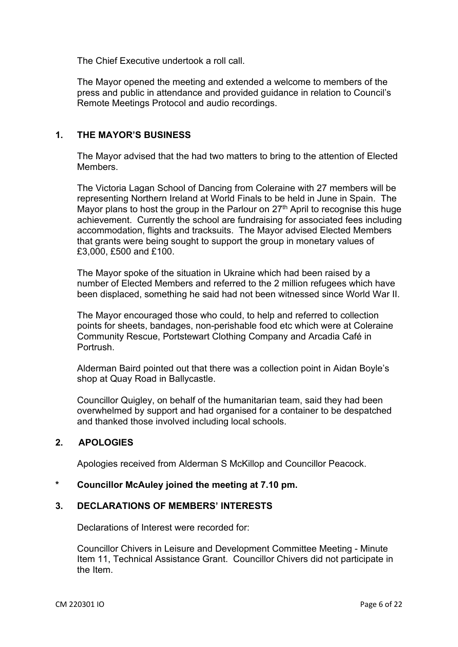The Chief Executive undertook a roll call.

The Mayor opened the meeting and extended a welcome to members of the press and public in attendance and provided guidance in relation to Council's Remote Meetings Protocol and audio recordings.

## **1. THE MAYOR'S BUSINESS**

The Mayor advised that the had two matters to bring to the attention of Elected **Members** 

The Victoria Lagan School of Dancing from Coleraine with 27 members will be representing Northern Ireland at World Finals to be held in June in Spain. The Mayor plans to host the group in the Parlour on 27<sup>th</sup> April to recognise this huge achievement. Currently the school are fundraising for associated fees including accommodation, flights and tracksuits. The Mayor advised Elected Members that grants were being sought to support the group in monetary values of £3,000, £500 and £100.

The Mayor spoke of the situation in Ukraine which had been raised by a number of Elected Members and referred to the 2 million refugees which have been displaced, something he said had not been witnessed since World War II.

The Mayor encouraged those who could, to help and referred to collection points for sheets, bandages, non-perishable food etc which were at Coleraine Community Rescue, Portstewart Clothing Company and Arcadia Café in **Portrush** 

Alderman Baird pointed out that there was a collection point in Aidan Boyle's shop at Quay Road in Ballycastle.

Councillor Quigley, on behalf of the humanitarian team, said they had been overwhelmed by support and had organised for a container to be despatched and thanked those involved including local schools.

## **2. APOLOGIES**

Apologies received from Alderman S McKillop and Councillor Peacock.

#### **\* Councillor McAuley joined the meeting at 7.10 pm.**

## **3. DECLARATIONS OF MEMBERS' INTERESTS**

Declarations of Interest were recorded for:

Councillor Chivers in Leisure and Development Committee Meeting - Minute Item 11, Technical Assistance Grant. Councillor Chivers did not participate in the Item.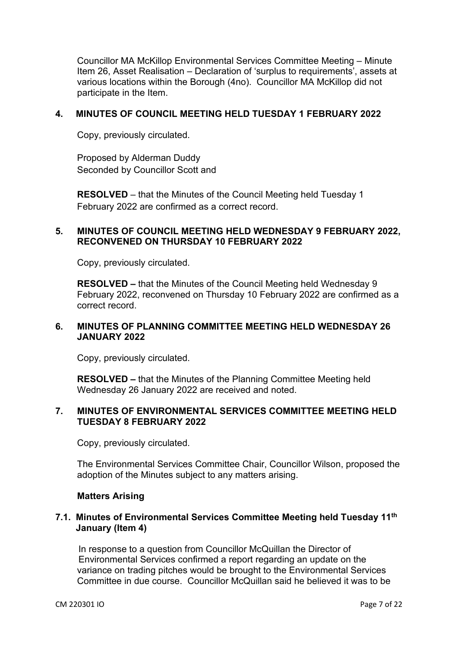Councillor MA McKillop Environmental Services Committee Meeting – Minute Item 26, Asset Realisation – Declaration of 'surplus to requirements', assets at various locations within the Borough (4no). Councillor MA McKillop did not participate in the Item.

#### **4. MINUTES OF COUNCIL MEETING HELD TUESDAY 1 FEBRUARY 2022**

Copy, previously circulated.

Proposed by Alderman Duddy Seconded by Councillor Scott and

**RESOLVED** – that the Minutes of the Council Meeting held Tuesday 1 February 2022 are confirmed as a correct record.

#### **5. MINUTES OF COUNCIL MEETING HELD WEDNESDAY 9 FEBRUARY 2022, RECONVENED ON THURSDAY 10 FEBRUARY 2022**

Copy, previously circulated.

**RESOLVED –** that the Minutes of the Council Meeting held Wednesday 9 February 2022, reconvened on Thursday 10 February 2022 are confirmed as a correct record.

## **6. MINUTES OF PLANNING COMMITTEE MEETING HELD WEDNESDAY 26 JANUARY 2022**

Copy, previously circulated.

**RESOLVED –** that the Minutes of the Planning Committee Meeting held Wednesday 26 January 2022 are received and noted.

## **7. MINUTES OF ENVIRONMENTAL SERVICES COMMITTEE MEETING HELD TUESDAY 8 FEBRUARY 2022**

Copy, previously circulated.

The Environmental Services Committee Chair, Councillor Wilson, proposed the adoption of the Minutes subject to any matters arising.

## **Matters Arising**

## **7.1. Minutes of Environmental Services Committee Meeting held Tuesday 11th January (Item 4)**

In response to a question from Councillor McQuillan the Director of Environmental Services confirmed a report regarding an update on the variance on trading pitches would be brought to the Environmental Services Committee in due course. Councillor McQuillan said he believed it was to be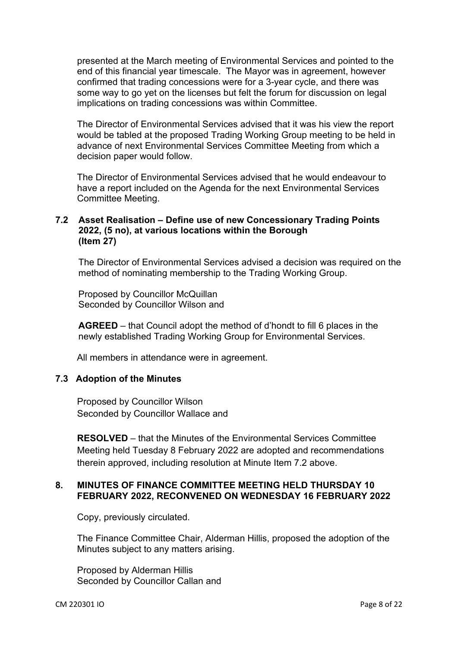presented at the March meeting of Environmental Services and pointed to the end of this financial year timescale. The Mayor was in agreement, however confirmed that trading concessions were for a 3-year cycle, and there was some way to go yet on the licenses but felt the forum for discussion on legal implications on trading concessions was within Committee.

The Director of Environmental Services advised that it was his view the report would be tabled at the proposed Trading Working Group meeting to be held in advance of next Environmental Services Committee Meeting from which a decision paper would follow.

The Director of Environmental Services advised that he would endeavour to have a report included on the Agenda for the next Environmental Services Committee Meeting.

## **7.2 Asset Realisation – Define use of new Concessionary Trading Points 2022, (5 no), at various locations within the Borough (Item 27)**

The Director of Environmental Services advised a decision was required on the method of nominating membership to the Trading Working Group.

Proposed by Councillor McQuillan Seconded by Councillor Wilson and

**AGREED** – that Council adopt the method of d'hondt to fill 6 places in the newly established Trading Working Group for Environmental Services.

All members in attendance were in agreement.

## **7.3 Adoption of the Minutes**

Proposed by Councillor Wilson Seconded by Councillor Wallace and

**RESOLVED** – that the Minutes of the Environmental Services Committee Meeting held Tuesday 8 February 2022 are adopted and recommendations therein approved, including resolution at Minute Item 7.2 above.

#### **8. MINUTES OF FINANCE COMMITTEE MEETING HELD THURSDAY 10 FEBRUARY 2022, RECONVENED ON WEDNESDAY 16 FEBRUARY 2022**

Copy, previously circulated.

The Finance Committee Chair, Alderman Hillis, proposed the adoption of the Minutes subject to any matters arising.

Proposed by Alderman Hillis Seconded by Councillor Callan and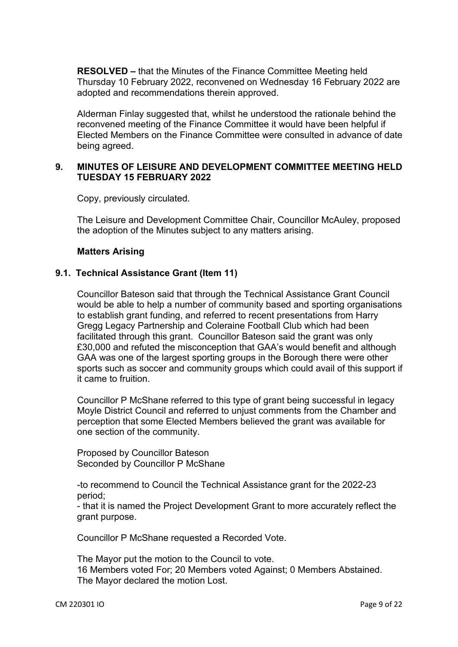**RESOLVED –** that the Minutes of the Finance Committee Meeting held Thursday 10 February 2022, reconvened on Wednesday 16 February 2022 are adopted and recommendations therein approved.

Alderman Finlay suggested that, whilst he understood the rationale behind the reconvened meeting of the Finance Committee it would have been helpful if Elected Members on the Finance Committee were consulted in advance of date being agreed.

## **9. MINUTES OF LEISURE AND DEVELOPMENT COMMITTEE MEETING HELD TUESDAY 15 FEBRUARY 2022**

Copy, previously circulated.

The Leisure and Development Committee Chair, Councillor McAuley, proposed the adoption of the Minutes subject to any matters arising.

#### **Matters Arising**

## **9.1. Technical Assistance Grant (Item 11)**

Councillor Bateson said that through the Technical Assistance Grant Council would be able to help a number of community based and sporting organisations to establish grant funding, and referred to recent presentations from Harry Gregg Legacy Partnership and Coleraine Football Club which had been facilitated through this grant. Councillor Bateson said the grant was only £30,000 and refuted the misconception that GAA's would benefit and although GAA was one of the largest sporting groups in the Borough there were other sports such as soccer and community groups which could avail of this support if it came to fruition.

Councillor P McShane referred to this type of grant being successful in legacy Moyle District Council and referred to unjust comments from the Chamber and perception that some Elected Members believed the grant was available for one section of the community.

Proposed by Councillor Bateson Seconded by Councillor P McShane

-to recommend to Council the Technical Assistance grant for the 2022-23 period;

- that it is named the Project Development Grant to more accurately reflect the grant purpose.

Councillor P McShane requested a Recorded Vote.

The Mayor put the motion to the Council to vote. 16 Members voted For; 20 Members voted Against; 0 Members Abstained. The Mayor declared the motion Lost.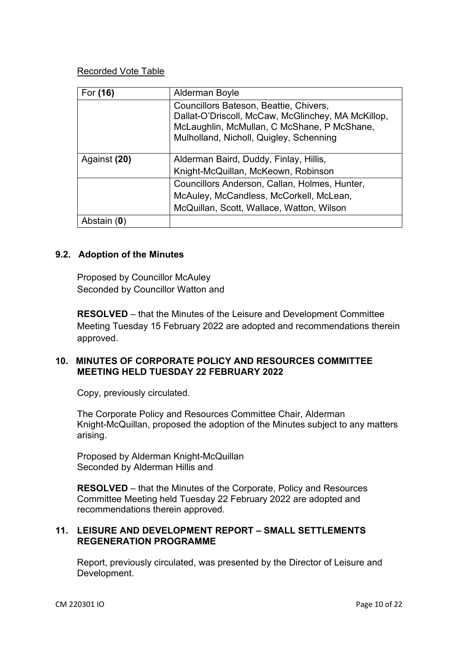## Recorded Vote Table

| For (16)     | Alderman Boyle                                                                                                                                                                         |
|--------------|----------------------------------------------------------------------------------------------------------------------------------------------------------------------------------------|
|              | Councillors Bateson, Beattie, Chivers,<br>Dallat-O'Driscoll, McCaw, McGlinchey, MA McKillop,<br>McLaughlin, McMullan, C McShane, P McShane,<br>Mulholland, Nicholl, Quigley, Schenning |
| Against (20) | Alderman Baird, Duddy, Finlay, Hillis,                                                                                                                                                 |
|              | Knight-McQuillan, McKeown, Robinson                                                                                                                                                    |
|              | Councillors Anderson, Callan, Holmes, Hunter,                                                                                                                                          |
|              | McAuley, McCandless, McCorkell, McLean,                                                                                                                                                |
|              | McQuillan, Scott, Wallace, Watton, Wilson                                                                                                                                              |
| Abstain (0)  |                                                                                                                                                                                        |

## **9.2. Adoption of the Minutes**

Proposed by Councillor McAuley Seconded by Councillor Watton and

**RESOLVED** – that the Minutes of the Leisure and Development Committee Meeting Tuesday 15 February 2022 are adopted and recommendations therein approved.

## **10. MINUTES OF CORPORATE POLICY AND RESOURCES COMMITTEE MEETING HELD TUESDAY 22 FEBRUARY 2022**

Copy, previously circulated.

The Corporate Policy and Resources Committee Chair, Alderman Knight-McQuillan, proposed the adoption of the Minutes subject to any matters arising.

Proposed by Alderman Knight-McQuillan Seconded by Alderman Hillis and

**RESOLVED** – that the Minutes of the Corporate, Policy and Resources Committee Meeting held Tuesday 22 February 2022 are adopted and recommendations therein approved.

#### **11. LEISURE AND DEVELOPMENT REPORT – SMALL SETTLEMENTS REGENERATION PROGRAMME**

Report, previously circulated, was presented by the Director of Leisure and Development.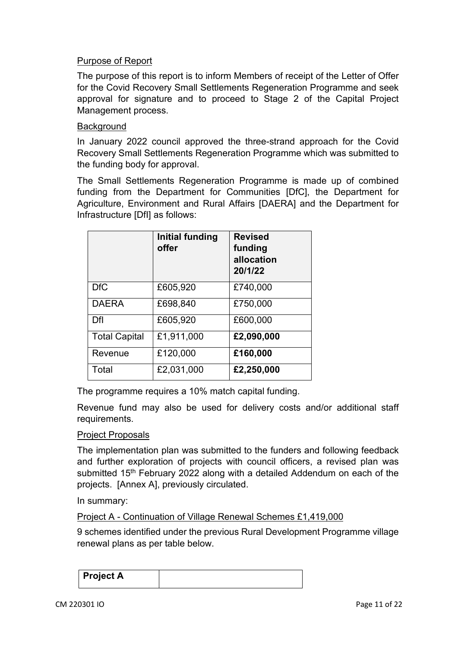## Purpose of Report

The purpose of this report is to inform Members of receipt of the Letter of Offer for the Covid Recovery Small Settlements Regeneration Programme and seek approval for signature and to proceed to Stage 2 of the Capital Project Management process.

#### **Background**

In January 2022 council approved the three-strand approach for the Covid Recovery Small Settlements Regeneration Programme which was submitted to the funding body for approval.

The Small Settlements Regeneration Programme is made up of combined funding from the Department for Communities [DfC], the Department for Agriculture, Environment and Rural Affairs [DAERA] and the Department for Infrastructure [DfI] as follows:

|                      | Initial funding<br>offer | <b>Revised</b><br>funding<br>allocation<br>20/1/22 |
|----------------------|--------------------------|----------------------------------------------------|
| <b>DfC</b>           | £605,920                 | £740,000                                           |
| <b>DAERA</b>         | £698,840                 | £750,000                                           |
| Dfl                  | £605,920                 | £600,000                                           |
| <b>Total Capital</b> | £1,911,000               | £2,090,000                                         |
| Revenue              | £120,000                 | £160,000                                           |
| Total                | £2,031,000               | £2,250,000                                         |

The programme requires a 10% match capital funding.

Revenue fund may also be used for delivery costs and/or additional staff requirements.

#### Project Proposals

The implementation plan was submitted to the funders and following feedback and further exploration of projects with council officers, a revised plan was submitted 15<sup>th</sup> February 2022 along with a detailed Addendum on each of the projects. [Annex A], previously circulated.

In summary:

Project A - Continuation of Village Renewal Schemes £1,419,000

9 schemes identified under the previous Rural Development Programme village renewal plans as per table below.

| Project A |  |
|-----------|--|
|           |  |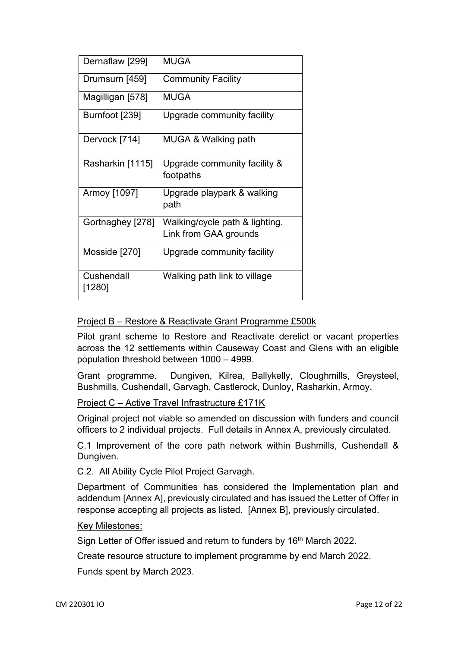| Dernaflaw [299]      | <b>MUGA</b>                                             |
|----------------------|---------------------------------------------------------|
| Drumsurn [459]       | <b>Community Facility</b>                               |
| Magilligan [578]     | MUGA                                                    |
| Burnfoot [239]       | Upgrade community facility                              |
| Dervock [714]        | MUGA & Walking path                                     |
| Rasharkin [1115]     | Upgrade community facility &<br>footpaths               |
| Armoy [1097]         | Upgrade playpark & walking<br>path                      |
| Gortnaghey [278]     | Walking/cycle path & lighting.<br>Link from GAA grounds |
| Mosside [270]        | Upgrade community facility                              |
| Cushendall<br>[1280] | Walking path link to village                            |

## Project B – Restore & Reactivate Grant Programme £500k

Pilot grant scheme to Restore and Reactivate derelict or vacant properties across the 12 settlements within Causeway Coast and Glens with an eligible population threshold between 1000 – 4999.

Grant programme. Dungiven, Kilrea, Ballykelly, Cloughmills, Greysteel, Bushmills, Cushendall, Garvagh, Castlerock, Dunloy, Rasharkin, Armoy.

## Project C – Active Travel Infrastructure £171K

Original project not viable so amended on discussion with funders and council officers to 2 individual projects. Full details in Annex A, previously circulated.

C.1 Improvement of the core path network within Bushmills, Cushendall & Dungiven.

C.2. All Ability Cycle Pilot Project Garvagh.

Department of Communities has considered the Implementation plan and addendum [Annex A], previously circulated and has issued the Letter of Offer in response accepting all projects as listed. [Annex B], previously circulated.

#### Key Milestones:

Sign Letter of Offer issued and return to funders by 16<sup>th</sup> March 2022.

Create resource structure to implement programme by end March 2022.

Funds spent by March 2023.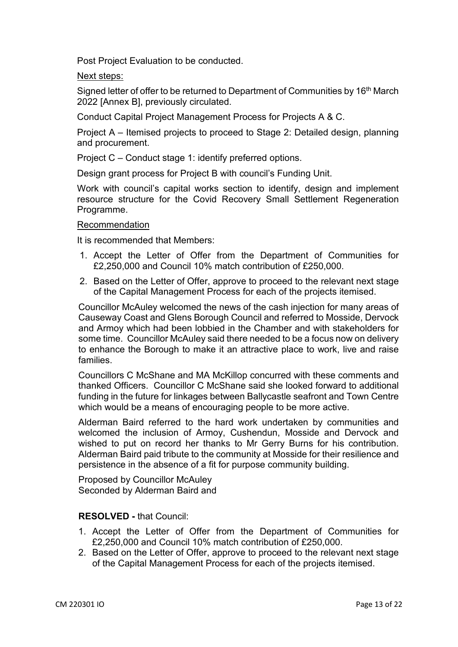Post Project Evaluation to be conducted.

Next steps:

Signed letter of offer to be returned to Department of Communities by 16<sup>th</sup> March 2022 [Annex B], previously circulated.

Conduct Capital Project Management Process for Projects A & C.

Project A – Itemised projects to proceed to Stage 2: Detailed design, planning and procurement.

Project C – Conduct stage 1: identify preferred options.

Design grant process for Project B with council's Funding Unit.

Work with council's capital works section to identify, design and implement resource structure for the Covid Recovery Small Settlement Regeneration Programme.

#### Recommendation

It is recommended that Members:

- 1. Accept the Letter of Offer from the Department of Communities for £2,250,000 and Council 10% match contribution of £250,000.
- 2. Based on the Letter of Offer, approve to proceed to the relevant next stage of the Capital Management Process for each of the projects itemised.

Councillor McAuley welcomed the news of the cash injection for many areas of Causeway Coast and Glens Borough Council and referred to Mosside, Dervock and Armoy which had been lobbied in the Chamber and with stakeholders for some time. Councillor McAuley said there needed to be a focus now on delivery to enhance the Borough to make it an attractive place to work, live and raise families.

Councillors C McShane and MA McKillop concurred with these comments and thanked Officers. Councillor C McShane said she looked forward to additional funding in the future for linkages between Ballycastle seafront and Town Centre which would be a means of encouraging people to be more active.

Alderman Baird referred to the hard work undertaken by communities and welcomed the inclusion of Armoy, Cushendun, Mosside and Dervock and wished to put on record her thanks to Mr Gerry Burns for his contribution. Alderman Baird paid tribute to the community at Mosside for their resilience and persistence in the absence of a fit for purpose community building.

Proposed by Councillor McAuley Seconded by Alderman Baird and

#### **RESOLVED -** that Council:

- 1. Accept the Letter of Offer from the Department of Communities for £2,250,000 and Council 10% match contribution of £250,000.
- 2. Based on the Letter of Offer, approve to proceed to the relevant next stage of the Capital Management Process for each of the projects itemised.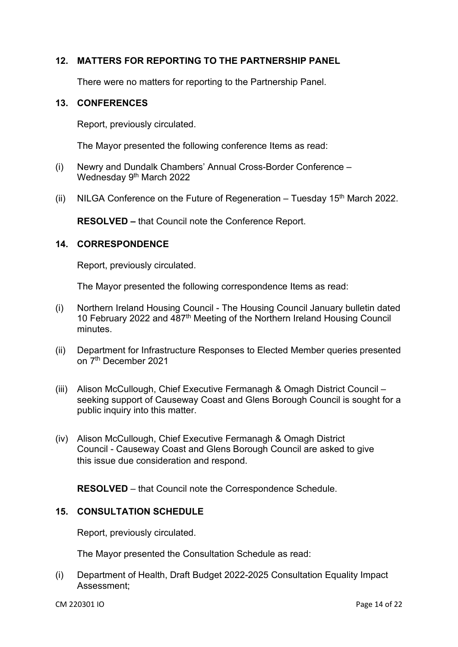## **12. MATTERS FOR REPORTING TO THE PARTNERSHIP PANEL**

There were no matters for reporting to the Partnership Panel.

#### **13. CONFERENCES**

Report, previously circulated.

The Mayor presented the following conference Items as read:

- (i) Newry and Dundalk Chambers' Annual Cross-Border Conference Wednesday 9<sup>th</sup> March 2022
- (ii) NILGA Conference on the Future of Regeneration Tuesday 15<sup>th</sup> March 2022.

**RESOLVED –** that Council note the Conference Report.

#### **14. CORRESPONDENCE**

Report, previously circulated.

The Mayor presented the following correspondence Items as read:

- (i) Northern Ireland Housing Council The Housing Council January bulletin dated 10 February 2022 and 487<sup>th</sup> Meeting of the Northern Ireland Housing Council minutes.
- (ii) Department for Infrastructure Responses to Elected Member queries presented on 7th December 2021
- (iii) Alison McCullough, Chief Executive Fermanagh & Omagh District Council seeking support of Causeway Coast and Glens Borough Council is sought for a public inquiry into this matter.
- (iv) Alison McCullough, Chief Executive Fermanagh & Omagh District Council - Causeway Coast and Glens Borough Council are asked to give this issue due consideration and respond.

**RESOLVED** – that Council note the Correspondence Schedule.

#### **15. CONSULTATION SCHEDULE**

Report, previously circulated.

The Mayor presented the Consultation Schedule as read:

(i) Department of Health, Draft Budget 2022-2025 Consultation Equality Impact Assessment;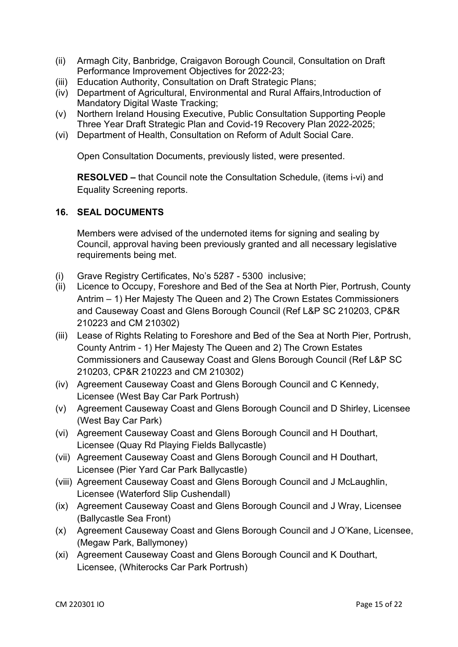- (ii) Armagh City, Banbridge, Craigavon Borough Council, Consultation on Draft Performance Improvement Objectives for 2022-23;
- (iii) Education Authority, Consultation on Draft Strategic Plans;
- (iv) Department of Agricultural, Environmental and Rural Affairs,Introduction of Mandatory Digital Waste Tracking;
- (v) Northern Ireland Housing Executive, Public Consultation Supporting People Three Year Draft Strategic Plan and Covid-19 Recovery Plan 2022-2025;
- (vi) Department of Health, Consultation on Reform of Adult Social Care.

Open Consultation Documents, previously listed, were presented.

**RESOLVED –** that Council note the Consultation Schedule, (items i-vi) and Equality Screening reports.

## **16. SEAL DOCUMENTS**

Members were advised of the undernoted items for signing and sealing by Council, approval having been previously granted and all necessary legislative requirements being met.

- (i) Grave Registry Certificates, No's 5287 5300 inclusive;
- (ii) Licence to Occupy, Foreshore and Bed of the Sea at North Pier, Portrush, County Antrim – 1) Her Majesty The Queen and 2) The Crown Estates Commissioners and Causeway Coast and Glens Borough Council (Ref L&P SC 210203, CP&R 210223 and CM 210302)
- (iii) Lease of Rights Relating to Foreshore and Bed of the Sea at North Pier, Portrush, County Antrim - 1) Her Majesty The Queen and 2) The Crown Estates Commissioners and Causeway Coast and Glens Borough Council (Ref L&P SC 210203, CP&R 210223 and CM 210302)
- (iv) Agreement Causeway Coast and Glens Borough Council and C Kennedy, Licensee (West Bay Car Park Portrush)
- (v) Agreement Causeway Coast and Glens Borough Council and D Shirley, Licensee (West Bay Car Park)
- (vi) Agreement Causeway Coast and Glens Borough Council and H Douthart, Licensee (Quay Rd Playing Fields Ballycastle)
- (vii) Agreement Causeway Coast and Glens Borough Council and H Douthart, Licensee (Pier Yard Car Park Ballycastle)
- (viii) Agreement Causeway Coast and Glens Borough Council and J McLaughlin, Licensee (Waterford Slip Cushendall)
- (ix) Agreement Causeway Coast and Glens Borough Council and J Wray, Licensee (Ballycastle Sea Front)
- (x) Agreement Causeway Coast and Glens Borough Council and J O'Kane, Licensee, (Megaw Park, Ballymoney)
- (xi) Agreement Causeway Coast and Glens Borough Council and K Douthart, Licensee, (Whiterocks Car Park Portrush)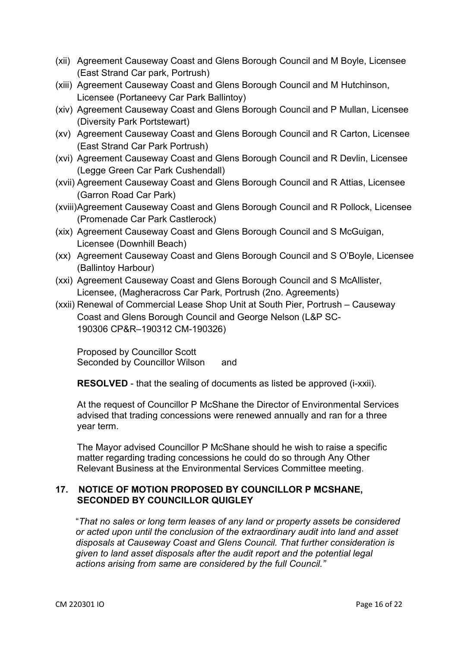- (xii) Agreement Causeway Coast and Glens Borough Council and M Boyle, Licensee (East Strand Car park, Portrush)
- (xiii) Agreement Causeway Coast and Glens Borough Council and M Hutchinson, Licensee (Portaneevy Car Park Ballintoy)
- (xiv) Agreement Causeway Coast and Glens Borough Council and P Mullan, Licensee (Diversity Park Portstewart)
- (xv) Agreement Causeway Coast and Glens Borough Council and R Carton, Licensee (East Strand Car Park Portrush)
- (xvi) Agreement Causeway Coast and Glens Borough Council and R Devlin, Licensee (Legge Green Car Park Cushendall)
- (xvii) Agreement Causeway Coast and Glens Borough Council and R Attias, Licensee (Garron Road Car Park)
- (xviii) Agreement Causeway Coast and Glens Borough Council and R Pollock, Licensee (Promenade Car Park Castlerock)
- (xix) Agreement Causeway Coast and Glens Borough Council and S McGuigan, Licensee (Downhill Beach)
- (xx) Agreement Causeway Coast and Glens Borough Council and S O'Boyle, Licensee (Ballintoy Harbour)
- (xxi) Agreement Causeway Coast and Glens Borough Council and S McAllister, Licensee, (Magheracross Car Park, Portrush (2no. Agreements)
- (xxii) Renewal of Commercial Lease Shop Unit at South Pier, Portrush Causeway Coast and Glens Borough Council and George Nelson (L&P SC-190306 CP&R–190312 CM-190326)

Proposed by Councillor Scott Seconded by Councillor Wilson and

**RESOLVED** - that the sealing of documents as listed be approved (i-xxii).

At the request of Councillor P McShane the Director of Environmental Services advised that trading concessions were renewed annually and ran for a three year term.

The Mayor advised Councillor P McShane should he wish to raise a specific matter regarding trading concessions he could do so through Any Other Relevant Business at the Environmental Services Committee meeting.

## **17. NOTICE OF MOTION PROPOSED BY COUNCILLOR P MCSHANE, SECONDED BY COUNCILLOR QUIGLEY**

"*That no sales or long term leases of any land or property assets be considered or acted upon until the conclusion of the extraordinary audit into land and asset disposals at Causeway Coast and Glens Council. That further consideration is given to land asset disposals after the audit report and the potential legal actions arising from same are considered by the full Council."*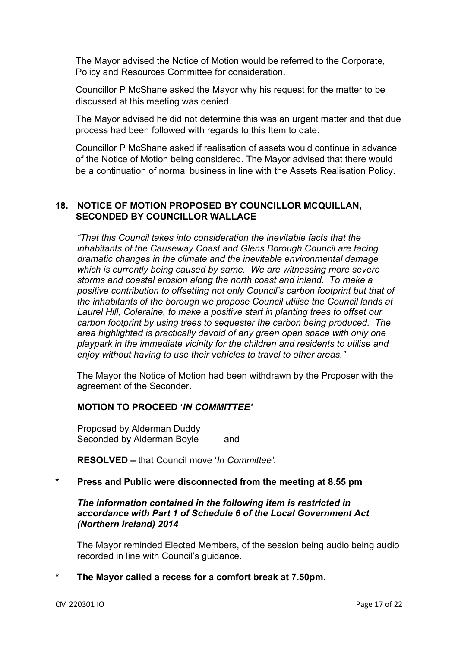The Mayor advised the Notice of Motion would be referred to the Corporate, Policy and Resources Committee for consideration.

Councillor P McShane asked the Mayor why his request for the matter to be discussed at this meeting was denied.

The Mayor advised he did not determine this was an urgent matter and that due process had been followed with regards to this Item to date.

Councillor P McShane asked if realisation of assets would continue in advance of the Notice of Motion being considered. The Mayor advised that there would be a continuation of normal business in line with the Assets Realisation Policy.

## **18. NOTICE OF MOTION PROPOSED BY COUNCILLOR MCQUILLAN, SECONDED BY COUNCILLOR WALLACE**

*"That this Council takes into consideration the inevitable facts that the inhabitants of the Causeway Coast and Glens Borough Council are facing dramatic changes in the climate and the inevitable environmental damage which is currently being caused by same. We are witnessing more severe storms and coastal erosion along the north coast and inland. To make a positive contribution to offsetting not only Council's carbon footprint but that of the inhabitants of the borough we propose Council utilise the Council lands at Laurel Hill, Coleraine, to make a positive start in planting trees to offset our carbon footprint by using trees to sequester the carbon being produced. The area highlighted is practically devoid of any green open space with only one playpark in the immediate vicinity for the children and residents to utilise and enjoy without having to use their vehicles to travel to other areas."*

The Mayor the Notice of Motion had been withdrawn by the Proposer with the agreement of the Seconder.

## **MOTION TO PROCEED '***IN COMMITTEE'*

Proposed by Alderman Duddy Seconded by Alderman Boyle and

**RESOLVED –** that Council move '*In Committee'.*

## **\* Press and Public were disconnected from the meeting at 8.55 pm**

#### *The information contained in the following item is restricted in accordance with Part 1 of Schedule 6 of the Local Government Act (Northern Ireland) 2014*

The Mayor reminded Elected Members, of the session being audio being audio recorded in line with Council's guidance.

**\* The Mayor called a recess for a comfort break at 7.50pm.**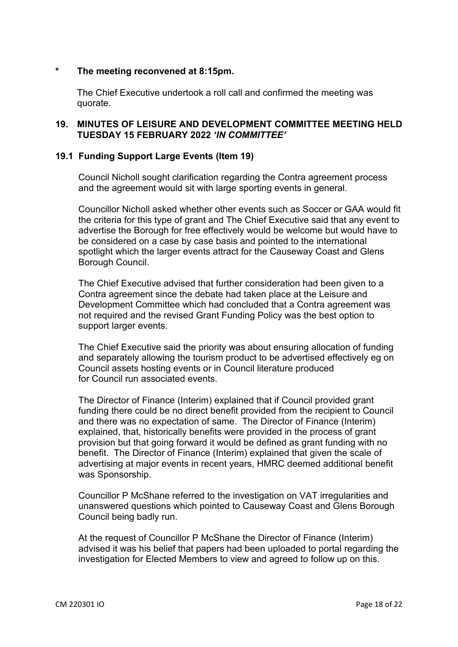#### **\* The meeting reconvened at 8:15pm.**

The Chief Executive undertook a roll call and confirmed the meeting was quorate.

#### **19. MINUTES OF LEISURE AND DEVELOPMENT COMMITTEE MEETING HELD TUESDAY 15 FEBRUARY 2022** *'IN COMMITTEE'*

#### **19.1 Funding Support Large Events (Item 19)**

Council Nicholl sought clarification regarding the Contra agreement process and the agreement would sit with large sporting events in general.

Councillor Nicholl asked whether other events such as Soccer or GAA would fit the criteria for this type of grant and The Chief Executive said that any event to advertise the Borough for free effectively would be welcome but would have to be considered on a case by case basis and pointed to the international spotlight which the larger events attract for the Causeway Coast and Glens Borough Council.

The Chief Executive advised that further consideration had been given to a Contra agreement since the debate had taken place at the Leisure and Development Committee which had concluded that a Contra agreement was not required and the revised Grant Funding Policy was the best option to support larger events.

The Chief Executive said the priority was about ensuring allocation of funding and separately allowing the tourism product to be advertised effectively eg on Council assets hosting events or in Council literature produced for Council run associated events.

The Director of Finance (Interim) explained that if Council provided grant funding there could be no direct benefit provided from the recipient to Council and there was no expectation of same. The Director of Finance (Interim) explained, that, historically benefits were provided in the process of grant provision but that going forward it would be defined as grant funding with no benefit. The Director of Finance (Interim) explained that given the scale of advertising at major events in recent years, HMRC deemed additional benefit was Sponsorship.

Councillor P McShane referred to the investigation on VAT irregularities and unanswered questions which pointed to Causeway Coast and Glens Borough Council being badly run.

At the request of Councillor P McShane the Director of Finance (Interim) advised it was his belief that papers had been uploaded to portal regarding the investigation for Elected Members to view and agreed to follow up on this.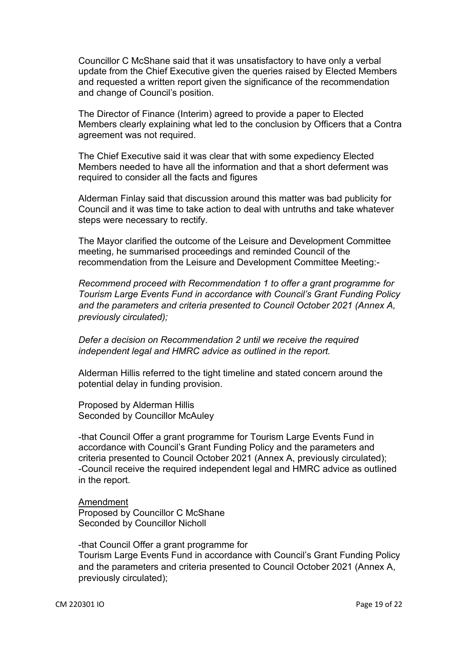Councillor C McShane said that it was unsatisfactory to have only a verbal update from the Chief Executive given the queries raised by Elected Members and requested a written report given the significance of the recommendation and change of Council's position.

The Director of Finance (Interim) agreed to provide a paper to Elected Members clearly explaining what led to the conclusion by Officers that a Contra agreement was not required.

The Chief Executive said it was clear that with some expediency Elected Members needed to have all the information and that a short deferment was required to consider all the facts and figures

Alderman Finlay said that discussion around this matter was bad publicity for Council and it was time to take action to deal with untruths and take whatever steps were necessary to rectify.

The Mayor clarified the outcome of the Leisure and Development Committee meeting, he summarised proceedings and reminded Council of the recommendation from the Leisure and Development Committee Meeting:-

*Recommend proceed with Recommendation 1 to offer a grant programme for Tourism Large Events Fund in accordance with Council's Grant Funding Policy and the parameters and criteria presented to Council October 2021 (Annex A, previously circulated);* 

*Defer a decision on Recommendation 2 until we receive the required independent legal and HMRC advice as outlined in the report.* 

Alderman Hillis referred to the tight timeline and stated concern around the potential delay in funding provision.

Proposed by Alderman Hillis Seconded by Councillor McAuley

-that Council Offer a grant programme for Tourism Large Events Fund in accordance with Council's Grant Funding Policy and the parameters and criteria presented to Council October 2021 (Annex A, previously circulated); -Council receive the required independent legal and HMRC advice as outlined in the report.

Amendment Proposed by Councillor C McShane Seconded by Councillor Nicholl

-that Council Offer a grant programme for Tourism Large Events Fund in accordance with Council's Grant Funding Policy and the parameters and criteria presented to Council October 2021 (Annex A, previously circulated);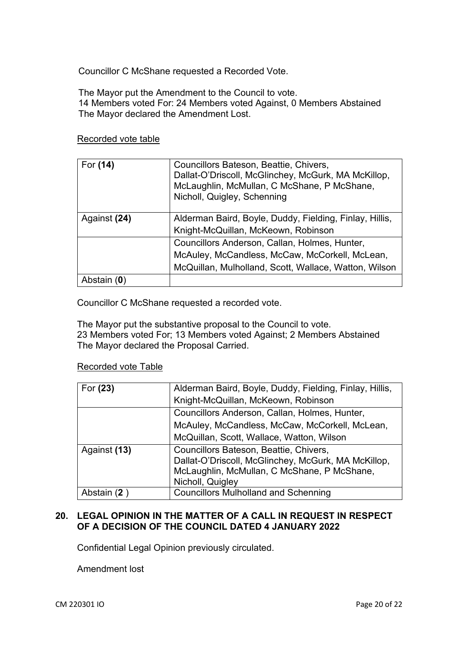Councillor C McShane requested a Recorded Vote.

The Mayor put the Amendment to the Council to vote. 14 Members voted For: 24 Members voted Against, 0 Members Abstained The Mayor declared the Amendment Lost.

#### Recorded vote table

| For (14)     | Councillors Bateson, Beattie, Chivers,<br>Dallat-O'Driscoll, McGlinchey, McGurk, MA McKillop,<br>McLaughlin, McMullan, C McShane, P McShane,<br>Nicholl, Quigley, Schenning |
|--------------|-----------------------------------------------------------------------------------------------------------------------------------------------------------------------------|
| Against (24) | Alderman Baird, Boyle, Duddy, Fielding, Finlay, Hillis,                                                                                                                     |
|              | Knight-McQuillan, McKeown, Robinson                                                                                                                                         |
|              | Councillors Anderson, Callan, Holmes, Hunter,                                                                                                                               |
|              | McAuley, McCandless, McCaw, McCorkell, McLean,                                                                                                                              |
|              | McQuillan, Mulholland, Scott, Wallace, Watton, Wilson                                                                                                                       |
| Abstain (0)  |                                                                                                                                                                             |

Councillor C McShane requested a recorded vote.

The Mayor put the substantive proposal to the Council to vote. 23 Members voted For; 13 Members voted Against; 2 Members Abstained The Mayor declared the Proposal Carried.

## Recorded vote Table

| For (23)     | Alderman Baird, Boyle, Duddy, Fielding, Finlay, Hillis,                                                                                                          |
|--------------|------------------------------------------------------------------------------------------------------------------------------------------------------------------|
|              | Knight-McQuillan, McKeown, Robinson                                                                                                                              |
|              | Councillors Anderson, Callan, Holmes, Hunter,                                                                                                                    |
|              | McAuley, McCandless, McCaw, McCorkell, McLean,                                                                                                                   |
|              | McQuillan, Scott, Wallace, Watton, Wilson                                                                                                                        |
| Against (13) | Councillors Bateson, Beattie, Chivers,<br>Dallat-O'Driscoll, McGlinchey, McGurk, MA McKillop,<br>McLaughlin, McMullan, C McShane, P McShane,<br>Nicholl, Quigley |
| Abstain (2)  | <b>Councillors Mulholland and Schenning</b>                                                                                                                      |

## **20. LEGAL OPINION IN THE MATTER OF A CALL IN REQUEST IN RESPECT OF A DECISION OF THE COUNCIL DATED 4 JANUARY 2022**

Confidential Legal Opinion previously circulated.

Amendment lost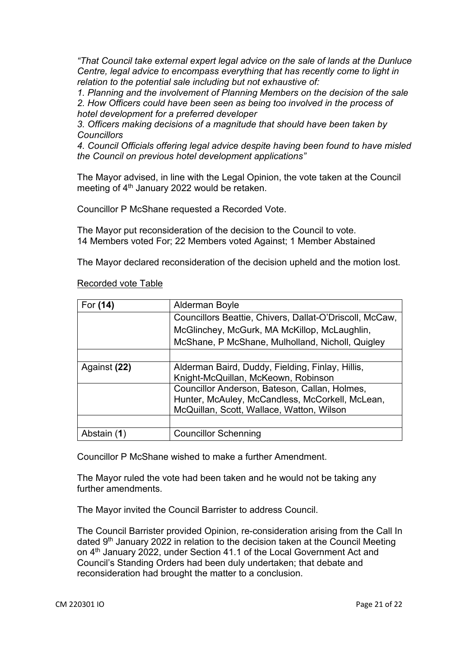*"That Council take external expert legal advice on the sale of lands at the Dunluce Centre, legal advice to encompass everything that has recently come to light in relation to the potential sale including but not exhaustive of:* 

*1. Planning and the involvement of Planning Members on the decision of the sale 2. How Officers could have been seen as being too involved in the process of hotel development for a preferred developer* 

*3. Officers making decisions of a magnitude that should have been taken by Councillors* 

*4. Council Officials offering legal advice despite having been found to have misled the Council on previous hotel development applications"* 

The Mayor advised, in line with the Legal Opinion, the vote taken at the Council meeting of  $4<sup>th</sup>$  January 2022 would be retaken.

Councillor P McShane requested a Recorded Vote.

The Mayor put reconsideration of the decision to the Council to vote. 14 Members voted For; 22 Members voted Against; 1 Member Abstained

The Mayor declared reconsideration of the decision upheld and the motion lost.

| For (14)     | Alderman Boyle                                          |
|--------------|---------------------------------------------------------|
|              | Councillors Beattie, Chivers, Dallat-O'Driscoll, McCaw, |
|              | McGlinchey, McGurk, MA McKillop, McLaughlin,            |
|              | McShane, P McShane, Mulholland, Nicholl, Quigley        |
|              |                                                         |
| Against (22) | Alderman Baird, Duddy, Fielding, Finlay, Hillis,        |
|              | Knight-McQuillan, McKeown, Robinson                     |
|              | Councillor Anderson, Bateson, Callan, Holmes,           |
|              | Hunter, McAuley, McCandless, McCorkell, McLean,         |
|              | McQuillan, Scott, Wallace, Watton, Wilson               |
|              |                                                         |
| Abstain (1)  | <b>Councillor Schenning</b>                             |

#### Recorded vote Table

Councillor P McShane wished to make a further Amendment.

The Mayor ruled the vote had been taken and he would not be taking any further amendments.

The Mayor invited the Council Barrister to address Council.

The Council Barrister provided Opinion, re-consideration arising from the Call In dated 9<sup>th</sup> January 2022 in relation to the decision taken at the Council Meeting on 4<sup>th</sup> January 2022, under Section 41.1 of the Local Government Act and Council's Standing Orders had been duly undertaken; that debate and reconsideration had brought the matter to a conclusion.